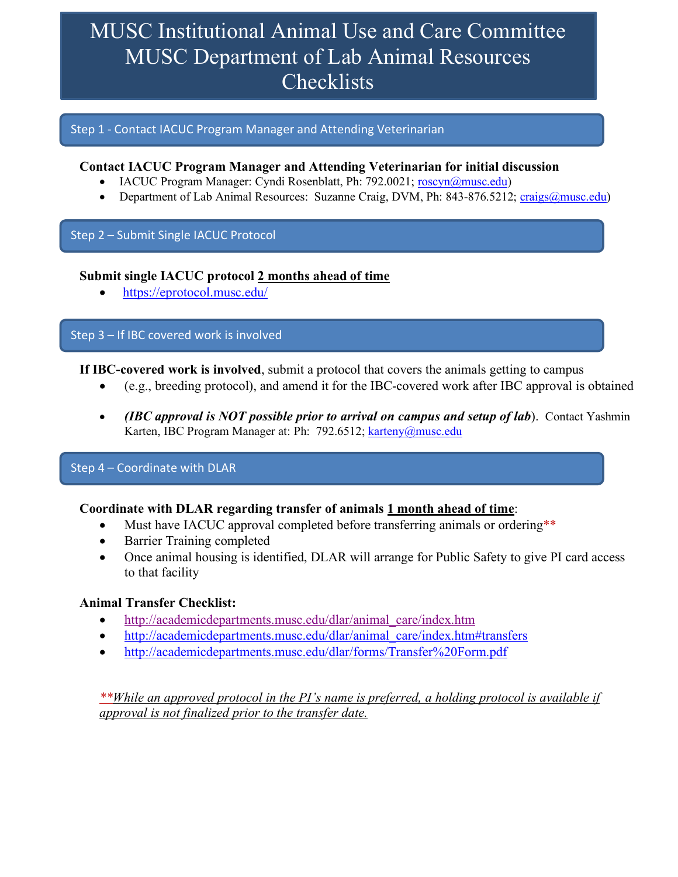# MUSC Institutional Animal Use and Care Committee MUSC Department of Lab Animal Resources **Checklists**

### Step 1 - Contact IACUC Program Manager and Attending Veterinarian

## **Contact IACUC Program Manager and Attending Veterinarian for initial discussion**

- IACUC Program Manager: Cyndi Rosenblatt, Ph: 792.0021; roscyn@musc.edu)
- Department of Lab Animal Resources: Suzanne Craig, DVM, Ph: 843-876.5212; craigs@musc.edu)

## Step 2 – Submit Single IACUC Protocol

### **Submit single IACUC protocol 2 months ahead of time**

• https://eprotocol.musc.edu/

### Step 3 – If IBC covered work is involved

**If IBC-covered work is involved**, submit a protocol that covers the animals getting to campus

- (e.g., breeding protocol), and amend it for the IBC-covered work after IBC approval is obtained
- *(IBC approval is NOT possible prior to arrival on campus and setup of lab*). Contact Yashmin Karten, IBC Program Manager at: Ph: 792.6512; karteny@musc.edu

## Step 4 – Coordinate with DLAR

## **Coordinate with DLAR regarding transfer of animals 1 month ahead of time**:

- Must have IACUC approval completed before transferring animals or ordering\*\*
- Barrier Training completed
- Once animal housing is identified, DLAR will arrange for Public Safety to give PI card access to that facility

#### **Animal Transfer Checklist:**

- http://academicdepartments.musc.edu/dlar/animal\_care/index.htm
- http://academicdepartments.musc.edu/dlar/animal\_care/index.htm#transfers
- http://academicdepartments.musc.edu/dlar/forms/Transfer%20Form.pdf

*\*\*While an approved protocol in the PI's name is preferred, a holding protocol is available if approval is not finalized prior to the transfer date.*